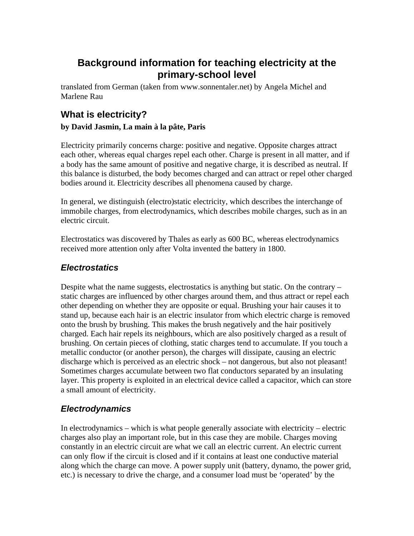# **Background information for teaching electricity at the primary-school level**

translated from German (taken from www.sonnentaler.net) by Angela Michel and Marlene Rau

# **What is electricity?**

#### **by David Jasmin, La main à la pâte, Paris**

Electricity primarily concerns charge: positive and negative. Opposite charges attract each other, whereas equal charges repel each other. Charge is present in all matter, and if a body has the same amount of positive and negative charge, it is described as neutral. If this balance is disturbed, the body becomes charged and can attract or repel other charged bodies around it. Electricity describes all phenomena caused by charge.

In general, we distinguish (electro)static electricity, which describes the interchange of immobile charges, from electrodynamics, which describes mobile charges, such as in an electric circuit.

Electrostatics was discovered by Thales as early as 600 BC, whereas electrodynamics received more attention only after Volta invented the battery in 1800.

### *Electrostatics*

Despite what the name suggests, electrostatics is anything but static. On the contrary – static charges are influenced by other charges around them, and thus attract or repel each other depending on whether they are opposite or equal. Brushing your hair causes it to stand up, because each hair is an electric insulator from which electric charge is removed onto the brush by brushing. This makes the brush negatively and the hair positively charged. Each hair repels its neighbours, which are also positively charged as a result of brushing. On certain pieces of clothing, static charges tend to accumulate. If you touch a metallic conductor (or another person), the charges will dissipate, causing an electric discharge which is perceived as an electric shock – not dangerous, but also not pleasant! Sometimes charges accumulate between two flat conductors separated by an insulating layer. This property is exploited in an electrical device called a capacitor, which can store a small amount of electricity.

## *Electrodynamics*

In electrodynamics – which is what people generally associate with electricity – electric charges also play an important role, but in this case they are mobile. Charges moving constantly in an electric circuit are what we call an electric current. An electric current can only flow if the circuit is closed and if it contains at least one conductive material along which the charge can move. A power supply unit (battery, dynamo, the power grid, etc.) is necessary to drive the charge, and a consumer load must be 'operated' by the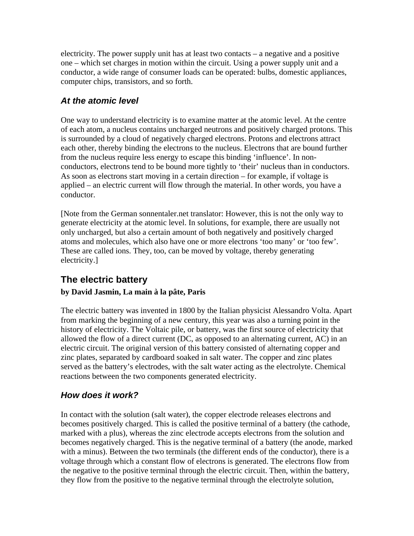electricity. The power supply unit has at least two contacts – a negative and a positive one – which set charges in motion within the circuit. Using a power supply unit and a conductor, a wide range of consumer loads can be operated: bulbs, domestic appliances, computer chips, transistors, and so forth.

### *At the atomic level*

One way to understand electricity is to examine matter at the atomic level. At the centre of each atom, a nucleus contains uncharged neutrons and positively charged protons. This is surrounded by a cloud of negatively charged electrons. Protons and electrons attract each other, thereby binding the electrons to the nucleus. Electrons that are bound further from the nucleus require less energy to escape this binding 'influence'. In nonconductors, electrons tend to be bound more tightly to 'their' nucleus than in conductors. As soon as electrons start moving in a certain direction – for example, if voltage is applied – an electric current will flow through the material. In other words, you have a conductor.

[Note from the German sonnentaler.net translator: However, this is not the only way to generate electricity at the atomic level. In solutions, for example, there are usually not only uncharged, but also a certain amount of both negatively and positively charged atoms and molecules, which also have one or more electrons 'too many' or 'too few'. These are called ions. They, too, can be moved by voltage, thereby generating electricity.]

## **The electric battery**

#### **by David Jasmin, La main à la pâte, Paris**

The electric battery was invented in 1800 by the Italian physicist Alessandro Volta. Apart from marking the beginning of a new century, this year was also a turning point in the history of electricity. The Voltaic pile, or battery, was the first source of electricity that allowed the flow of a direct current (DC, as opposed to an alternating current, AC) in an electric circuit. The original version of this battery consisted of alternating copper and zinc plates, separated by cardboard soaked in salt water. The copper and zinc plates served as the battery's electrodes, with the salt water acting as the electrolyte. Chemical reactions between the two components generated electricity.

## *How does it work?*

In contact with the solution (salt water), the copper electrode releases electrons and becomes positively charged. This is called the positive terminal of a battery (the cathode, marked with a plus), whereas the zinc electrode accepts electrons from the solution and becomes negatively charged. This is the negative terminal of a battery (the anode, marked with a minus). Between the two terminals (the different ends of the conductor), there is a voltage through which a constant flow of electrons is generated. The electrons flow from the negative to the positive terminal through the electric circuit. Then, within the battery, they flow from the positive to the negative terminal through the electrolyte solution,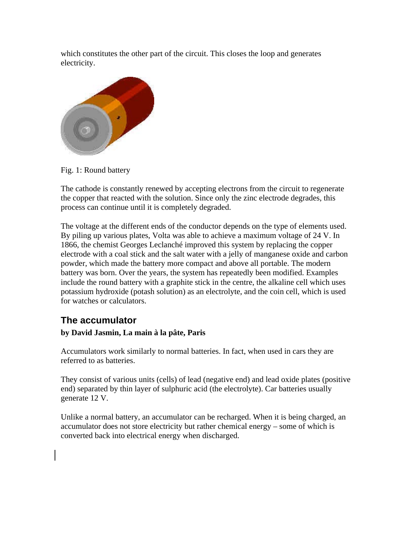which constitutes the other part of the circuit. This closes the loop and generates electricity.



Fig. 1: Round battery

The cathode is constantly renewed by accepting electrons from the circuit to regenerate the copper that reacted with the solution. Since only the zinc electrode degrades, this process can continue until it is completely degraded.

The voltage at the different ends of the conductor depends on the type of elements used. By piling up various plates, Volta was able to achieve a maximum voltage of 24 V. In 1866, the chemist Georges Leclanché improved this system by replacing the copper electrode with a coal stick and the salt water with a jelly of manganese oxide and carbon powder, which made the battery more compact and above all portable. The modern battery was born. Over the years, the system has repeatedly been modified. Examples include the round battery with a graphite stick in the centre, the alkaline cell which uses potassium hydroxide (potash solution) as an electrolyte, and the coin cell, which is used for watches or calculators.

## **The accumulator**

#### **by David Jasmin, La main à la pâte, Paris**

Accumulators work similarly to normal batteries. In fact, when used in cars they are referred to as batteries.

They consist of various units (cells) of lead (negative end) and lead oxide plates (positive end) separated by thin layer of sulphuric acid (the electrolyte). Car batteries usually generate 12 V.

Unlike a normal battery, an accumulator can be recharged. When it is being charged, an accumulator does not store electricity but rather chemical energy – some of which is converted back into electrical energy when discharged.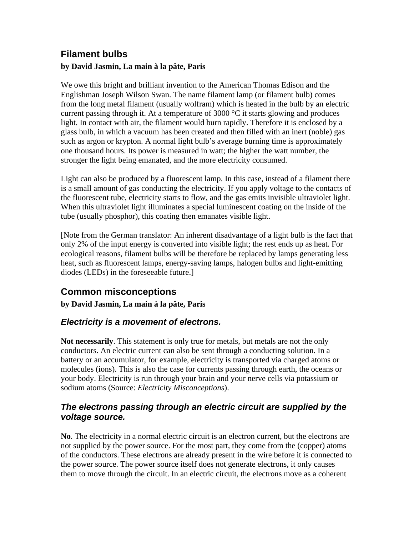# **Filament bulbs**

#### **by David Jasmin, La main à la pâte, Paris**

We owe this bright and brilliant invention to the American Thomas Edison and the Englishman Joseph Wilson Swan. The name filament lamp (or filament bulb) comes from the long metal filament (usually wolfram) which is heated in the bulb by an electric current passing through it. At a temperature of 3000 °C it starts glowing and produces light. In contact with air, the filament would burn rapidly. Therefore it is enclosed by a glass bulb, in which a vacuum has been created and then filled with an inert (noble) gas such as argon or krypton. A normal light bulb's average burning time is approximately one thousand hours. Its power is measured in watt; the higher the watt number, the stronger the light being emanated, and the more electricity consumed.

Light can also be produced by a fluorescent lamp. In this case, instead of a filament there is a small amount of gas conducting the electricity. If you apply voltage to the contacts of the fluorescent tube, electricity starts to flow, and the gas emits invisible ultraviolet light. When this ultraviolet light illuminates a special luminescent coating on the inside of the tube (usually phosphor), this coating then emanates visible light.

[Note from the German translator: An inherent disadvantage of a light bulb is the fact that only 2% of the input energy is converted into visible light; the rest ends up as heat. For ecological reasons, filament bulbs will be therefore be replaced by lamps generating less heat, such as fluorescent lamps, energy-saving lamps, halogen bulbs and light-emitting diodes (LEDs) in the foreseeable future.]

## **Common misconceptions**

**by David Jasmin, La main à la pâte, Paris**

## *Electricity is a movement of electrons.*

**Not necessarily**. This statement is only true for metals, but metals are not the only conductors. An electric current can also be sent through a conducting solution. In a battery or an accumulator, for example, electricity is transported via charged atoms or molecules (ions). This is also the case for currents passing through earth, the oceans or your body. Electricity is run through your brain and your nerve cells via potassium or sodium atoms (Source: *Electricity Misconceptions*).

#### *The electrons passing through an electric circuit are supplied by the voltage source.*

**No**. The electricity in a normal electric circuit is an electron current, but the electrons are not supplied by the power source. For the most part, they come from the (copper) atoms of the conductors. These electrons are already present in the wire before it is connected to the power source. The power source itself does not generate electrons, it only causes them to move through the circuit. In an electric circuit, the electrons move as a coherent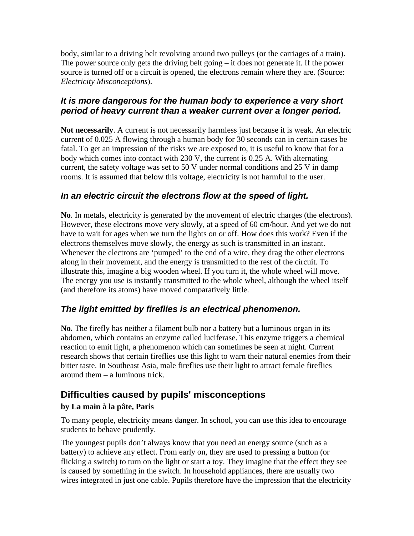body, similar to a driving belt revolving around two pulleys (or the carriages of a train). The power source only gets the driving belt going – it does not generate it. If the power source is turned off or a circuit is opened, the electrons remain where they are. (Source: *Electricity Misconceptions*).

#### *It is more dangerous for the human body to experience a very short period of heavy current than a weaker current over a longer period.*

**Not necessarily**. A current is not necessarily harmless just because it is weak. An electric current of 0.025 A flowing through a human body for 30 seconds can in certain cases be fatal. To get an impression of the risks we are exposed to, it is useful to know that for a body which comes into contact with 230 V, the current is 0.25 A. With alternating current, the safety voltage was set to 50 V under normal conditions and 25 V in damp rooms. It is assumed that below this voltage, electricity is not harmful to the user.

#### *In an electric circuit the electrons flow at the speed of light.*

**No**. In metals, electricity is generated by the movement of electric charges (the electrons). However, these electrons move very slowly, at a speed of 60 cm/hour. And yet we do not have to wait for ages when we turn the lights on or off. How does this work? Even if the electrons themselves move slowly, the energy as such is transmitted in an instant. Whenever the electrons are 'pumped' to the end of a wire, they drag the other electrons along in their movement, and the energy is transmitted to the rest of the circuit. To illustrate this, imagine a big wooden wheel. If you turn it, the whole wheel will move. The energy you use is instantly transmitted to the whole wheel, although the wheel itself (and therefore its atoms) have moved comparatively little.

## *The light emitted by fireflies is an electrical phenomenon.*

**No***.* The firefly has neither a filament bulb nor a battery but a luminous organ in its abdomen, which contains an enzyme called luciferase. This enzyme triggers a chemical reaction to emit light, a phenomenon which can sometimes be seen at night. Current research shows that certain fireflies use this light to warn their natural enemies from their bitter taste. In Southeast Asia, male fireflies use their light to attract female fireflies around them – a luminous trick.

## **Difficulties caused by pupils' misconceptions by La main à la pâte, Paris**

To many people, electricity means danger. In school, you can use this idea to encourage students to behave prudently.

The youngest pupils don't always know that you need an energy source (such as a battery) to achieve any effect. From early on, they are used to pressing a button (or flicking a switch) to turn on the light or start a toy. They imagine that the effect they see is caused by something in the switch. In household appliances, there are usually two wires integrated in just one cable. Pupils therefore have the impression that the electricity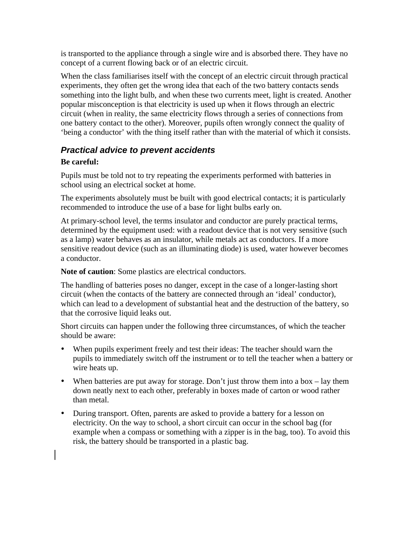is transported to the appliance through a single wire and is absorbed there. They have no concept of a current flowing back or of an electric circuit.

When the class familiarises itself with the concept of an electric circuit through practical experiments, they often get the wrong idea that each of the two battery contacts sends something into the light bulb, and when these two currents meet, light is created. Another popular misconception is that electricity is used up when it flows through an electric circuit (when in reality, the same electricity flows through a series of connections from one battery contact to the other). Moreover, pupils often wrongly connect the quality of 'being a conductor' with the thing itself rather than with the material of which it consists.

#### *Practical advice to prevent accidents*

#### **Be careful:**

Pupils must be told not to try repeating the experiments performed with batteries in school using an electrical socket at home.

The experiments absolutely must be built with good electrical contacts; it is particularly recommended to introduce the use of a base for light bulbs early on.

At primary-school level, the terms insulator and conductor are purely practical terms, determined by the equipment used: with a readout device that is not very sensitive (such as a lamp) water behaves as an insulator, while metals act as conductors. If a more sensitive readout device (such as an illuminating diode) is used, water however becomes a conductor.

**Note of caution**: Some plastics are electrical conductors.

The handling of batteries poses no danger, except in the case of a longer-lasting short circuit (when the contacts of the battery are connected through an 'ideal' conductor), which can lead to a development of substantial heat and the destruction of the battery, so that the corrosive liquid leaks out.

Short circuits can happen under the following three circumstances, of which the teacher should be aware:

- When pupils experiment freely and test their ideas: The teacher should warn the pupils to immediately switch off the instrument or to tell the teacher when a battery or wire heats up.
- When batteries are put away for storage. Don't just throw them into a box lay them down neatly next to each other, preferably in boxes made of carton or wood rather than metal.
- During transport. Often, parents are asked to provide a battery for a lesson on electricity. On the way to school, a short circuit can occur in the school bag (for example when a compass or something with a zipper is in the bag, too). To avoid this risk, the battery should be transported in a plastic bag.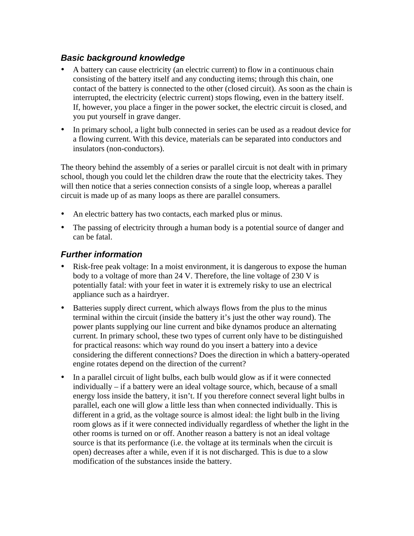### *Basic background knowledge*

- A battery can cause electricity (an electric current) to flow in a continuous chain consisting of the battery itself and any conducting items; through this chain, one contact of the battery is connected to the other (closed circuit). As soon as the chain is interrupted, the electricity (electric current) stops flowing, even in the battery itself. If, however, you place a finger in the power socket, the electric circuit is closed, and you put yourself in grave danger.
- In primary school, a light bulb connected in series can be used as a readout device for a flowing current. With this device, materials can be separated into conductors and insulators (non-conductors).

The theory behind the assembly of a series or parallel circuit is not dealt with in primary school, though you could let the children draw the route that the electricity takes. They will then notice that a series connection consists of a single loop, whereas a parallel circuit is made up of as many loops as there are parallel consumers.

- An electric battery has two contacts, each marked plus or minus.
- The passing of electricity through a human body is a potential source of danger and can be fatal.

#### *Further information*

- Risk-free peak voltage: In a moist environment, it is dangerous to expose the human body to a voltage of more than 24 V. Therefore, the line voltage of 230 V is potentially fatal: with your feet in water it is extremely risky to use an electrical appliance such as a hairdryer.
- Batteries supply direct current, which always flows from the plus to the minus terminal within the circuit (inside the battery it's just the other way round). The power plants supplying our line current and bike dynamos produce an alternating current. In primary school, these two types of current only have to be distinguished for practical reasons: which way round do you insert a battery into a device considering the different connections? Does the direction in which a battery-operated engine rotates depend on the direction of the current?
- In a parallel circuit of light bulbs, each bulb would glow as if it were connected individually – if a battery were an ideal voltage source, which, because of a small energy loss inside the battery, it isn't. If you therefore connect several light bulbs in parallel, each one will glow a little less than when connected individually. This is different in a grid, as the voltage source is almost ideal: the light bulb in the living room glows as if it were connected individually regardless of whether the light in the other rooms is turned on or off. Another reason a battery is not an ideal voltage source is that its performance (i.e. the voltage at its terminals when the circuit is open) decreases after a while, even if it is not discharged. This is due to a slow modification of the substances inside the battery.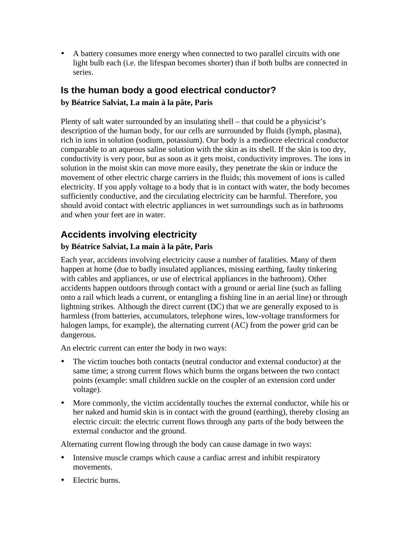• A battery consumes more energy when connected to two parallel circuits with one light bulb each (i.e. the lifespan becomes shorter) than if both bulbs are connected in series.

# **Is the human body a good electrical conductor?**

#### **by Béatrice Salviat, La main à la pâte, Paris**

Plenty of salt water surrounded by an insulating shell – that could be a physicist's description of the human body, for our cells are surrounded by fluids (lymph, plasma), rich in ions in solution (sodium, potassium). Our body is a mediocre electrical conductor comparable to an aqueous saline solution with the skin as its shell. If the skin is too dry, conductivity is very poor, but as soon as it gets moist, conductivity improves. The ions in solution in the moist skin can move more easily, they penetrate the skin or induce the movement of other electric charge carriers in the fluids; this movement of ions is called electricity. If you apply voltage to a body that is in contact with water, the body becomes sufficiently conductive, and the circulating electricity can be harmful. Therefore, you should avoid contact with electric appliances in wet surroundings such as in bathrooms and when your feet are in water.

# **Accidents involving electricity**

## **by Béatrice Salviat, La main à la pâte, Paris**

Each year, accidents involving electricity cause a number of fatalities. Many of them happen at home (due to badly insulated appliances, missing earthing, faulty tinkering with cables and appliances, or use of electrical appliances in the bathroom). Other accidents happen outdoors through contact with a ground or aerial line (such as falling onto a rail which leads a current, or entangling a fishing line in an aerial line) or through lightning strikes. Although the direct current (DC) that we are generally exposed to is harmless (from batteries, accumulators, telephone wires, low-voltage transformers for halogen lamps, for example), the alternating current (AC) from the power grid can be dangerous.

An electric current can enter the body in two ways:

- The victim touches both contacts (neutral conductor and external conductor) at the same time; a strong current flows which burns the organs between the two contact points (example: small children suckle on the coupler of an extension cord under voltage).
- More commonly, the victim accidentally touches the external conductor, while his or her naked and humid skin is in contact with the ground (earthing), thereby closing an electric circuit: the electric current flows through any parts of the body between the external conductor and the ground.

Alternating current flowing through the body can cause damage in two ways:

- Intensive muscle cramps which cause a cardiac arrest and inhibit respiratory movements.
- Electric burns.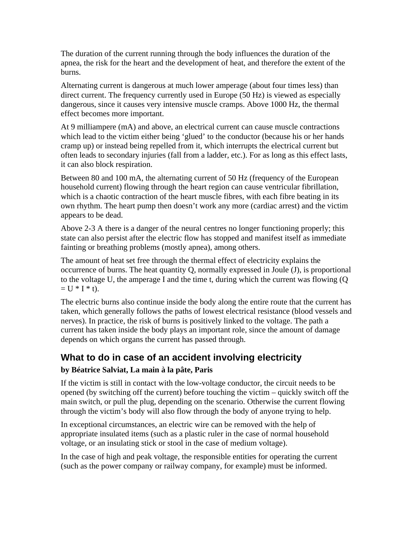The duration of the current running through the body influences the duration of the apnea, the risk for the heart and the development of heat, and therefore the extent of the burns.

Alternating current is dangerous at much lower amperage (about four times less) than direct current. The frequency currently used in Europe (50 Hz) is viewed as especially dangerous, since it causes very intensive muscle cramps. Above 1000 Hz, the thermal effect becomes more important.

At 9 milliampere (mA) and above, an electrical current can cause muscle contractions which lead to the victim either being 'glued' to the conductor (because his or her hands cramp up) or instead being repelled from it, which interrupts the electrical current but often leads to secondary injuries (fall from a ladder, etc.). For as long as this effect lasts, it can also block respiration.

Between 80 and 100 mA, the alternating current of 50 Hz (frequency of the European household current) flowing through the heart region can cause ventricular fibrillation, which is a chaotic contraction of the heart muscle fibres, with each fibre beating in its own rhythm. The heart pump then doesn't work any more (cardiac arrest) and the victim appears to be dead.

Above 2-3 A there is a danger of the neural centres no longer functioning properly; this state can also persist after the electric flow has stopped and manifest itself as immediate fainting or breathing problems (mostly apnea), among others.

The amount of heat set free through the thermal effect of electricity explains the occurrence of burns. The heat quantity Q, normally expressed in Joule (J), is proportional to the voltage U, the amperage I and the time t, during which the current was flowing (Q  $= U * I * t$ .

The electric burns also continue inside the body along the entire route that the current has taken, which generally follows the paths of lowest electrical resistance (blood vessels and nerves). In practice, the risk of burns is positively linked to the voltage. The path a current has taken inside the body plays an important role, since the amount of damage depends on which organs the current has passed through.

## **What to do in case of an accident involving electricity**

#### **by Béatrice Salviat, La main à la pâte, Paris**

If the victim is still in contact with the low-voltage conductor, the circuit needs to be opened (by switching off the current) before touching the victim – quickly switch off the main switch, or pull the plug, depending on the scenario. Otherwise the current flowing through the victim's body will also flow through the body of anyone trying to help.

In exceptional circumstances, an electric wire can be removed with the help of appropriate insulated items (such as a plastic ruler in the case of normal household voltage, or an insulating stick or stool in the case of medium voltage).

In the case of high and peak voltage, the responsible entities for operating the current (such as the power company or railway company, for example) must be informed.